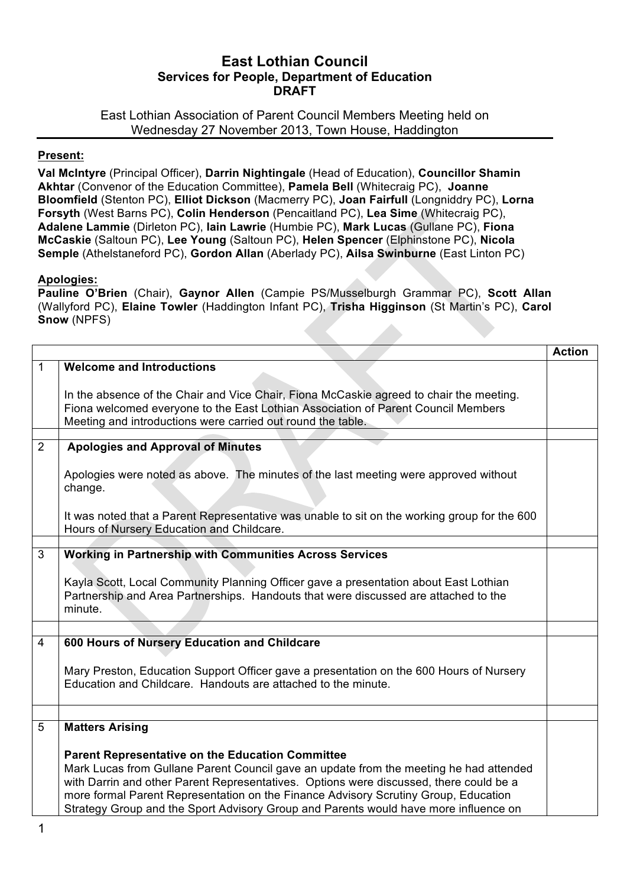# **East Lothian Council Services for People, Department of Education DRAFT**

East Lothian Association of Parent Council Members Meeting held on Wednesday 27 November 2013, Town House, Haddington

## **Present:**

**Val McIntyre** (Principal Officer), **Darrin Nightingale** (Head of Education), **Councillor Shamin Akhtar** (Convenor of the Education Committee), **Pamela Bell** (Whitecraig PC), **Joanne Bloomfield** (Stenton PC), **Elliot Dickson** (Macmerry PC), **Joan Fairfull** (Longniddry PC), **Lorna Forsyth** (West Barns PC), **Colin Henderson** (Pencaitland PC), **Lea Sime** (Whitecraig PC), **Adalene Lammie** (Dirleton PC), **Iain Lawrie** (Humbie PC), **Mark Lucas** (Gullane PC), **Fiona McCaskie** (Saltoun PC), **Lee Young** (Saltoun PC), **Helen Spencer** (Elphinstone PC), **Nicola Semple** (Athelstaneford PC), **Gordon Allan** (Aberlady PC), **Ailsa Swinburne** (East Linton PC)

## **Apologies:**

**Pauline O'Brien** (Chair), **Gaynor Allen** (Campie PS/Musselburgh Grammar PC), **Scott Allan** (Wallyford PC), **Elaine Towler** (Haddington Infant PC), **Trisha Higginson** (St Martin's PC), **Carol Snow** (NPFS)

|   |                                                                                                                                                                                                                                             | <b>Action</b> |
|---|---------------------------------------------------------------------------------------------------------------------------------------------------------------------------------------------------------------------------------------------|---------------|
| 1 | <b>Welcome and Introductions</b>                                                                                                                                                                                                            |               |
|   | In the absence of the Chair and Vice Chair, Fiona McCaskie agreed to chair the meeting.<br>Fiona welcomed everyone to the East Lothian Association of Parent Council Members<br>Meeting and introductions were carried out round the table. |               |
|   |                                                                                                                                                                                                                                             |               |
| 2 | <b>Apologies and Approval of Minutes</b>                                                                                                                                                                                                    |               |
|   | Apologies were noted as above. The minutes of the last meeting were approved without<br>change.                                                                                                                                             |               |
|   | It was noted that a Parent Representative was unable to sit on the working group for the 600<br>Hours of Nursery Education and Childcare.                                                                                                   |               |
|   |                                                                                                                                                                                                                                             |               |
| 3 | <b>Working in Partnership with Communities Across Services</b>                                                                                                                                                                              |               |
|   | Kayla Scott, Local Community Planning Officer gave a presentation about East Lothian<br>Partnership and Area Partnerships. Handouts that were discussed are attached to the<br>minute.                                                      |               |
|   |                                                                                                                                                                                                                                             |               |
| 4 | 600 Hours of Nursery Education and Childcare                                                                                                                                                                                                |               |
|   | Mary Preston, Education Support Officer gave a presentation on the 600 Hours of Nursery<br>Education and Childcare. Handouts are attached to the minute.                                                                                    |               |
|   |                                                                                                                                                                                                                                             |               |
| 5 | <b>Matters Arising</b>                                                                                                                                                                                                                      |               |
|   | <b>Parent Representative on the Education Committee</b>                                                                                                                                                                                     |               |
|   | Mark Lucas from Gullane Parent Council gave an update from the meeting he had attended                                                                                                                                                      |               |
|   | with Darrin and other Parent Representatives. Options were discussed, there could be a                                                                                                                                                      |               |
|   | more formal Parent Representation on the Finance Advisory Scrutiny Group, Education                                                                                                                                                         |               |
|   | Strategy Group and the Sport Advisory Group and Parents would have more influence on                                                                                                                                                        |               |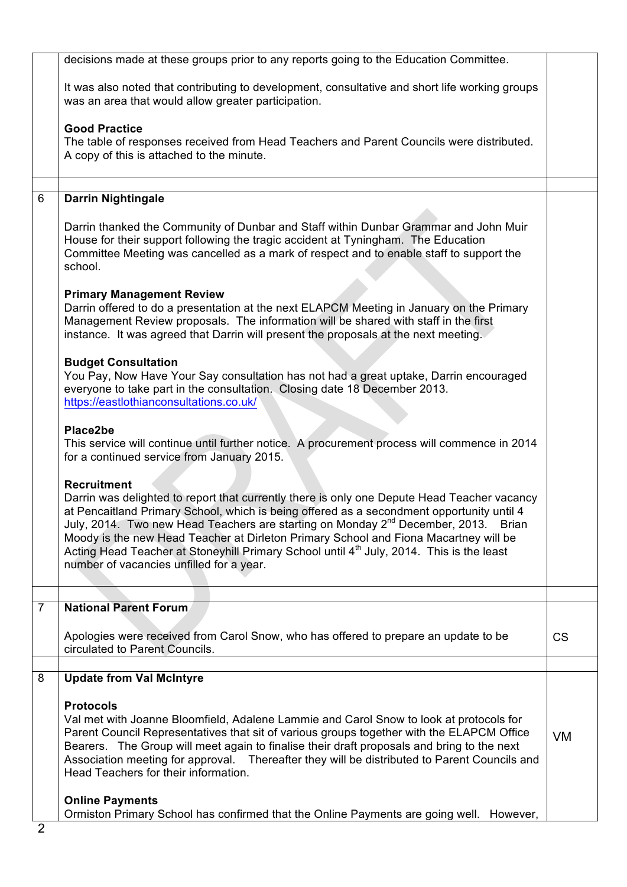|                | decisions made at these groups prior to any reports going to the Education Committee.                                                                                                                                                                                                                                                                                                                                                                                                                                                                        |           |
|----------------|--------------------------------------------------------------------------------------------------------------------------------------------------------------------------------------------------------------------------------------------------------------------------------------------------------------------------------------------------------------------------------------------------------------------------------------------------------------------------------------------------------------------------------------------------------------|-----------|
|                | It was also noted that contributing to development, consultative and short life working groups<br>was an area that would allow greater participation.                                                                                                                                                                                                                                                                                                                                                                                                        |           |
|                | <b>Good Practice</b><br>The table of responses received from Head Teachers and Parent Councils were distributed.<br>A copy of this is attached to the minute.                                                                                                                                                                                                                                                                                                                                                                                                |           |
| 6              | <b>Darrin Nightingale</b>                                                                                                                                                                                                                                                                                                                                                                                                                                                                                                                                    |           |
|                | Darrin thanked the Community of Dunbar and Staff within Dunbar Grammar and John Muir<br>House for their support following the tragic accident at Tyningham. The Education<br>Committee Meeting was cancelled as a mark of respect and to enable staff to support the<br>school.                                                                                                                                                                                                                                                                              |           |
|                | <b>Primary Management Review</b><br>Darrin offered to do a presentation at the next ELAPCM Meeting in January on the Primary<br>Management Review proposals. The information will be shared with staff in the first<br>instance. It was agreed that Darrin will present the proposals at the next meeting.                                                                                                                                                                                                                                                   |           |
|                | <b>Budget Consultation</b><br>You Pay, Now Have Your Say consultation has not had a great uptake, Darrin encouraged<br>everyone to take part in the consultation. Closing date 18 December 2013.<br>https://eastlothianconsultations.co.uk/                                                                                                                                                                                                                                                                                                                  |           |
|                | Place2be<br>This service will continue until further notice. A procurement process will commence in 2014<br>for a continued service from January 2015.                                                                                                                                                                                                                                                                                                                                                                                                       |           |
|                | <b>Recruitment</b><br>Darrin was delighted to report that currently there is only one Depute Head Teacher vacancy<br>at Pencaitland Primary School, which is being offered as a secondment opportunity until 4<br>July, 2014. Two new Head Teachers are starting on Monday 2 <sup>nd</sup> December, 2013. Brian<br>Moody is the new Head Teacher at Dirleton Primary School and Fiona Macartney will be<br>Acting Head Teacher at Stoneyhill Primary School until 4 <sup>th</sup> July, 2014. This is the least<br>number of vacancies unfilled for a year. |           |
| $\overline{7}$ | <b>National Parent Forum</b>                                                                                                                                                                                                                                                                                                                                                                                                                                                                                                                                 |           |
|                | Apologies were received from Carol Snow, who has offered to prepare an update to be<br>circulated to Parent Councils.                                                                                                                                                                                                                                                                                                                                                                                                                                        | <b>CS</b> |
| 8              | <b>Update from Val McIntyre</b>                                                                                                                                                                                                                                                                                                                                                                                                                                                                                                                              |           |
|                | <b>Protocols</b><br>Val met with Joanne Bloomfield, Adalene Lammie and Carol Snow to look at protocols for<br>Parent Council Representatives that sit of various groups together with the ELAPCM Office<br>Bearers. The Group will meet again to finalise their draft proposals and bring to the next<br>Association meeting for approval. Thereafter they will be distributed to Parent Councils and<br>Head Teachers for their information.                                                                                                                | <b>VM</b> |
| റ              | <b>Online Payments</b><br>Ormiston Primary School has confirmed that the Online Payments are going well. However,                                                                                                                                                                                                                                                                                                                                                                                                                                            |           |